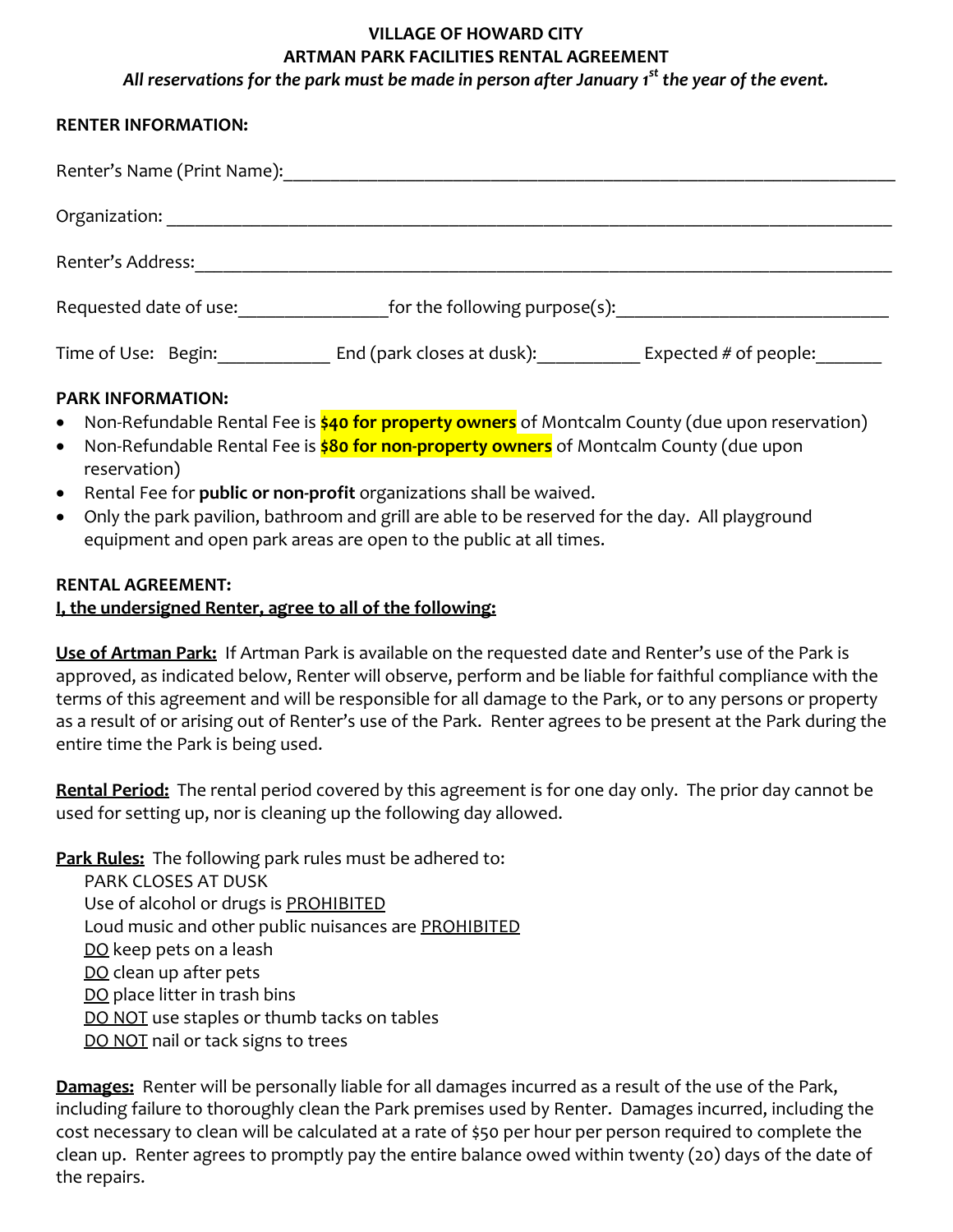## **VILLAGE OF HOWARD CITY ARTMAN PARK FACILITIES RENTAL AGREEMENT** *All reservations for the park must be made in person after January 1st the year of the event.*

## **RENTER INFORMATION:**

| Renter's Name (Print Name): |                               |                         |
|-----------------------------|-------------------------------|-------------------------|
| Organization:               |                               |                         |
| Renter's Address:           |                               |                         |
| Requested date of use:      | for the following purpose(s): |                         |
| Time of Use: Begin:         | End (park closes at dusk):    | Expected $#$ of people: |
| <b>PARK INFORMATION:</b>    |                               |                         |

- Non-Refundable Rental Fee is **\$40 for property owners** of Montcalm County (due upon reservation)
- Non-Refundable Rental Fee is **\$80 for non-property owners** of Montcalm County (due upon reservation)
- Rental Fee for **public or non-profit** organizations shall be waived.
- Only the park pavilion, bathroom and grill are able to be reserved for the day. All playground equipment and open park areas are open to the public at all times.

## **RENTAL AGREEMENT:**

## **I, the undersigned Renter, agree to all of the following:**

**Use of Artman Park:** If Artman Park is available on the requested date and Renter's use of the Park is approved, as indicated below, Renter will observe, perform and be liable for faithful compliance with the terms of this agreement and will be responsible for all damage to the Park, or to any persons or property as a result of or arising out of Renter's use of the Park. Renter agrees to be present at the Park during the entire time the Park is being used.

**Rental Period:** The rental period covered by this agreement is for one day only. The prior day cannot be used for setting up, nor is cleaning up the following day allowed.

**Park Rules:** The following park rules must be adhered to:

- PARK CLOSES AT DUSK
- Use of alcohol or drugs is PROHIBITED
- Loud music and other public nuisances are PROHIBITED
- DO keep pets on a leash
- DO clean up after pets
- DO place litter in trash bins
- DO NOT use staples or thumb tacks on tables
- DO NOT nail or tack signs to trees

**Damages:** Renter will be personally liable for all damages incurred as a result of the use of the Park, including failure to thoroughly clean the Park premises used by Renter. Damages incurred, including the cost necessary to clean will be calculated at a rate of \$50 per hour per person required to complete the clean up. Renter agrees to promptly pay the entire balance owed within twenty (20) days of the date of the repairs.